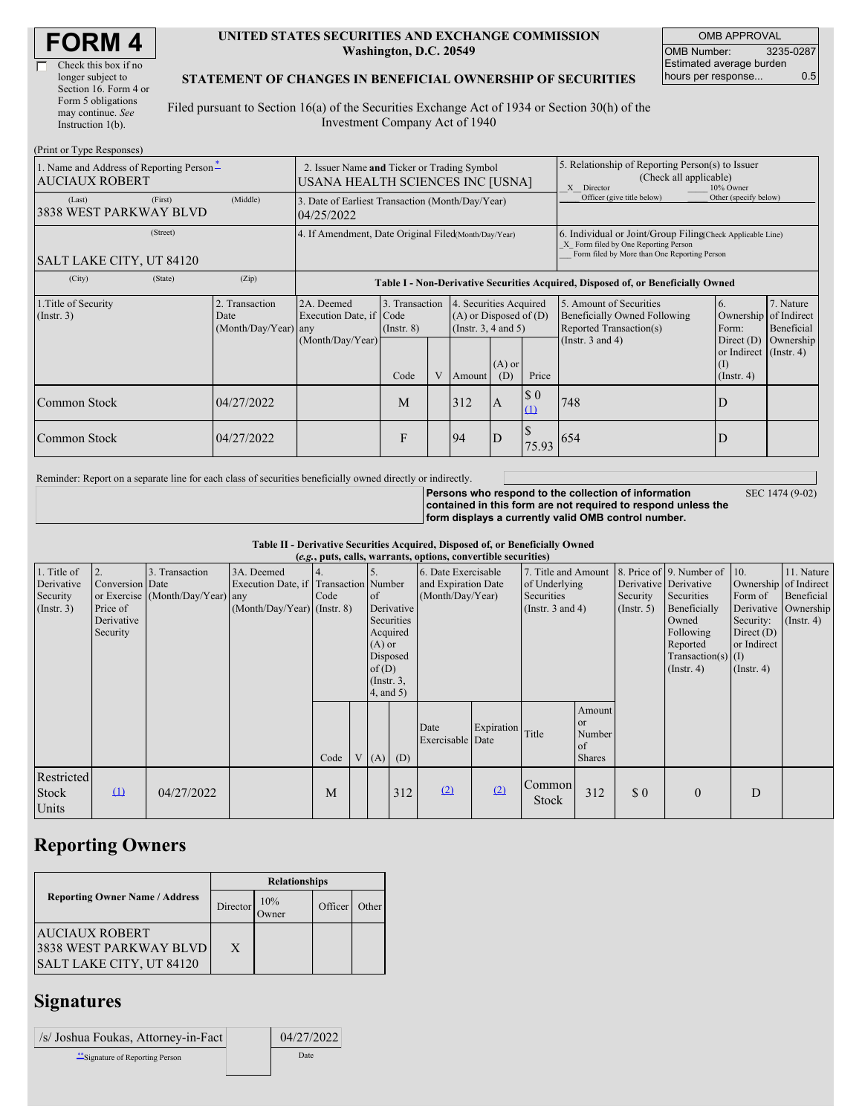| <b>FORM4</b> |
|--------------|
|--------------|

Г

| Check this box if no  |
|-----------------------|
| longer subject to     |
| Section 16. Form 4 or |
| Form 5 obligations    |
| may continue. See     |
| Instruction $1(b)$ .  |
|                       |

#### **UNITED STATES SECURITIES AND EXCHANGE COMMISSION Washington, D.C. 20549**

OMB APPROVAL OMB Number: 3235-0287 Estimated average burden hours per response... 0.5

### **STATEMENT OF CHANGES IN BENEFICIAL OWNERSHIP OF SECURITIES**

Filed pursuant to Section 16(a) of the Securities Exchange Act of 1934 or Section 30(h) of the Investment Company Act of 1940

| (Print or Type Responses)                                                     |                                                                                 |                                                |                                                                                  |                                   |   |                                                                              |                                                                                                                                                    |                                    |                                                                                    |                                                                   |                         |
|-------------------------------------------------------------------------------|---------------------------------------------------------------------------------|------------------------------------------------|----------------------------------------------------------------------------------|-----------------------------------|---|------------------------------------------------------------------------------|----------------------------------------------------------------------------------------------------------------------------------------------------|------------------------------------|------------------------------------------------------------------------------------|-------------------------------------------------------------------|-------------------------|
| 1. Name and Address of Reporting Person <sup>-</sup><br><b>AUCIAUX ROBERT</b> | 2. Issuer Name and Ticker or Trading Symbol<br>USANA HEALTH SCIENCES INC [USNA] |                                                |                                                                                  |                                   |   |                                                                              | 5. Relationship of Reporting Person(s) to Issuer<br>(Check all applicable)<br>10% Owner<br>X Director                                              |                                    |                                                                                    |                                                                   |                         |
| (Last)<br>3838 WEST PARKWAY BLVD                                              | (First)                                                                         | (Middle)                                       | 3. Date of Earliest Transaction (Month/Day/Year)<br>04/25/2022                   |                                   |   |                                                                              |                                                                                                                                                    |                                    | Officer (give title below)                                                         | Other (specify below)                                             |                         |
| SALT LAKE CITY, UT 84120                                                      | 4. If Amendment, Date Original Filed(Month/Day/Year)                            |                                                |                                                                                  |                                   |   |                                                                              | 6. Individual or Joint/Group Filing Check Applicable Line)<br>X Form filed by One Reporting Person<br>Form filed by More than One Reporting Person |                                    |                                                                                    |                                                                   |                         |
| (City)                                                                        | (State)                                                                         | (Zip)                                          | Table I - Non-Derivative Securities Acquired, Disposed of, or Beneficially Owned |                                   |   |                                                                              |                                                                                                                                                    |                                    |                                                                                    |                                                                   |                         |
| 1. Title of Security<br>(Insert. 3)                                           |                                                                                 | 2. Transaction<br>Date<br>(Month/Day/Year) any | 2A. Deemed<br>Execution Date, if Code                                            | 3. Transaction<br>$($ Instr. $8)$ |   | 4. Securities Acquired<br>$(A)$ or Disposed of $(D)$<br>(Insert. 3, 4 and 5) |                                                                                                                                                    |                                    | 5. Amount of Securities<br>Beneficially Owned Following<br>Reported Transaction(s) | 6.<br>Ownership of Indirect<br>Form:                              | 7. Nature<br>Beneficial |
|                                                                               |                                                                                 |                                                | (Month/Day/Year)                                                                 | Code                              | V | Amount                                                                       | $(A)$ or<br>(D)                                                                                                                                    | Price                              | (Instr. $3$ and $4$ )                                                              | Direct $(D)$<br>or Indirect (Instr. 4)<br>(I)<br>$($ Instr. 4 $)$ | Ownership               |
| Common Stock                                                                  |                                                                                 | 04/27/2022                                     |                                                                                  | M                                 |   | 312                                                                          | <b>A</b>                                                                                                                                           | $\boldsymbol{\mathsf{S}}$ 0<br>(1) | 748                                                                                |                                                                   |                         |
| Common Stock                                                                  |                                                                                 | 04/27/2022                                     |                                                                                  | F                                 |   | 94                                                                           | ID                                                                                                                                                 | 75.93                              | 654                                                                                |                                                                   |                         |

Reminder: Report on a separate line for each class of securities beneficially owned directly or indirectly.

SEC 1474 (9-02)

**Persons who respond to the collection of information contained in this form are not required to respond unless the form displays a currently valid OMB control number.**

**Table II - Derivative Securities Acquired, Disposed of, or Beneficially Owned**

| (e.g., puts, calls, warrants, options, convertible securities) |                                    |                                  |                                                     |      |  |                                                               |                                                  |                                            |            |                                      |                                                          |                              |                                                                                                     |                                                                         |                                                        |
|----------------------------------------------------------------|------------------------------------|----------------------------------|-----------------------------------------------------|------|--|---------------------------------------------------------------|--------------------------------------------------|--------------------------------------------|------------|--------------------------------------|----------------------------------------------------------|------------------------------|-----------------------------------------------------------------------------------------------------|-------------------------------------------------------------------------|--------------------------------------------------------|
| 1. Title of<br>Derivative                                      | Conversion Date                    | 3. Transaction                   | 3A. Deemed<br>Execution Date, if Transaction Number |      |  |                                                               |                                                  | 6. Date Exercisable<br>and Expiration Date |            | 7. Title and Amount<br>of Underlying |                                                          | Derivative Derivative        | 8. Price of 9. Number of 10.                                                                        | Ownership of Indirect                                                   | 11. Nature                                             |
| Security<br>(Insert. 3)                                        | Price of<br>Derivative<br>Security | or Exercise (Month/Day/Year) any | $(Month/Day/Year)$ (Instr. 8)                       | Code |  | of<br>$(A)$ or<br>of(D)<br>$($ Instr. $3,$<br>$4$ , and $5$ ) | Derivative<br>Securities<br>Acquired<br>Disposed | (Month/Day/Year)                           |            | Securities<br>(Instr. $3$ and $4$ )  |                                                          | Security<br>$($ Instr. 5 $)$ | Securities<br>Beneficially<br>Owned<br>Following<br>Reported<br>Transaction(s) $(I)$<br>(Insert, 4) | Form of<br>Security:<br>Direct $(D)$<br>or Indirect<br>$($ Instr. 4 $)$ | Beneficial<br>Derivative Ownership<br>$($ Instr. 4 $)$ |
|                                                                |                                    |                                  |                                                     | Code |  |                                                               | $V(A)$ (D)                                       | Date<br>Exercisable Date                   | Expiration | Title                                | Amount<br><sub>or</sub><br>Number<br>of<br><b>Shares</b> |                              |                                                                                                     |                                                                         |                                                        |
| Restricted<br><b>Stock</b><br>Units                            | $\mathbf{\underline{u}}$           | 04/27/2022                       |                                                     | M    |  |                                                               | 312                                              | (2)                                        | (2)        | Common<br>Stock                      | 312                                                      | \$0                          | $\mathbf{0}$                                                                                        | D                                                                       |                                                        |

### **Reporting Owners**

|                                                                             | <b>Relationships</b> |                      |         |       |  |  |  |
|-----------------------------------------------------------------------------|----------------------|----------------------|---------|-------|--|--|--|
| <b>Reporting Owner Name / Address</b>                                       | Director             | 10%<br><b>J</b> wner | Officer | Other |  |  |  |
| <b>AUCIAUX ROBERT</b><br>3838 WEST PARKWAY BLVD<br>SALT LAKE CITY, UT 84120 | X                    |                      |         |       |  |  |  |

## **Signatures**

| /s/ Joshua Foukas, Attorney-in-Fact | 04/27/2022 |
|-------------------------------------|------------|
| Signature of Reporting Person       | Date       |